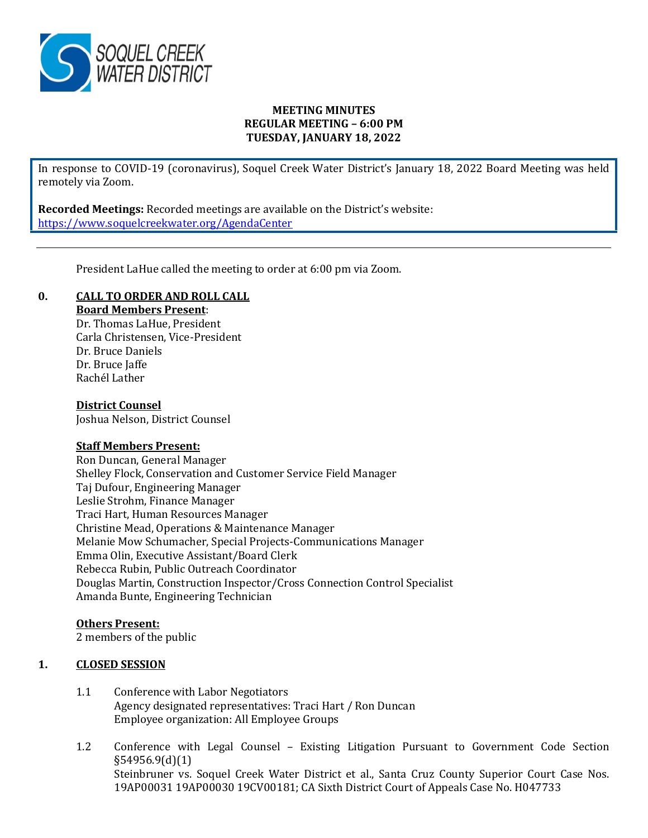

### **MEETING MINUTES REGULAR MEETING – 6:00 PM TUESDAY, JANUARY 18, 2022**

In response to COVID-19 (coronavirus), Soquel Creek Water District's January 18, 2022 Board Meeting was held remotely via Zoom.

**Recorded Meetings:** Recorded meetings are available on the District's website: <https://www.soquelcreekwater.org/AgendaCenter>

President LaHue called the meeting to order at 6:00 pm via Zoom.

# **0. CALL TO ORDER AND ROLL CALL**

**Board Members Present**:

Dr. Thomas LaHue, President Carla Christensen, Vice-President Dr. Bruce Daniels Dr. Bruce Jaffe Rachél Lather

### **District Counsel**

Joshua Nelson, District Counsel

### **Staff Members Present:**

Ron Duncan, General Manager Shelley Flock, Conservation and Customer Service Field Manager Taj Dufour, Engineering Manager Leslie Strohm, Finance Manager Traci Hart, Human Resources Manager Christine Mead, Operations & Maintenance Manager Melanie Mow Schumacher, Special Projects-Communications Manager Emma Olin, Executive Assistant/Board Clerk Rebecca Rubin, Public Outreach Coordinator Douglas Martin, Construction Inspector/Cross Connection Control Specialist Amanda Bunte, Engineering Technician

### **Others Present:**

2 members of the public

### **1. CLOSED SESSION**

- 1.1 Conference with Labor Negotiators Agency designated representatives: Traci Hart / Ron Duncan Employee organization: All Employee Groups
- 1.2 Conference with Legal Counsel Existing Litigation Pursuant to Government Code Section §54956.9(d)(1) Steinbruner vs. Soquel Creek Water District et al., Santa Cruz County Superior Court Case Nos. 19AP00031 19AP00030 19CV00181; CA Sixth District Court of Appeals Case No. H047733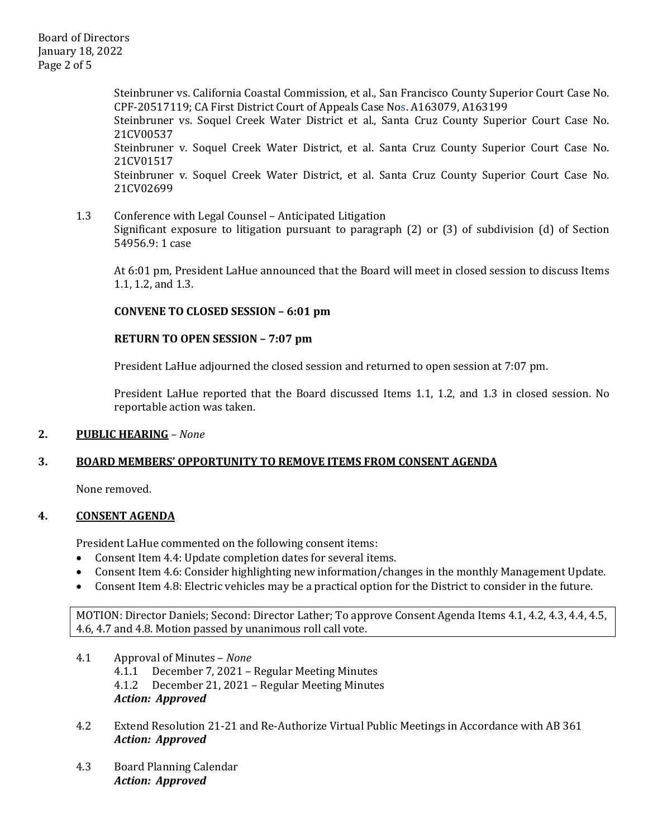Board of Directors January 18, 2022 Page 2 of 5

> Steinbruner vs. California Coastal Commission, et al., San Francisco County Superior Court Case No. CPF-20517119; CA First District Court of Appeals Case Nos. A163079, A163199 Steinbruner vs. Soquel Creek Water District et al., Santa Cruz County Superior Court Case No. 21CV00537 Steinbruner v. Soquel Creek Water District, et al. Santa Cruz County Superior Court Case No. 21CV01517 Steinbruner v. Soquel Creek Water District, et al. Santa Cruz County Superior Court Case No. 21CV02699

1.3 Conference with Legal Counsel – Anticipated Litigation Significant exposure to litigation pursuant to paragraph (2) or (3) of subdivision (d) of Section 54956.9: 1 case

At 6:01 pm, President LaHue announced that the Board will meet in closed session to discuss Items 1.1, 1.2, and 1.3.

### **CONVENE TO CLOSED SESSION – 6:01 pm**

### **RETURN TO OPEN SESSION – 7:07 pm**

President LaHue adjourned the closed session and returned to open session at 7:07 pm.

President LaHue reported that the Board discussed Items 1.1, 1.2, and 1.3 in closed session. No reportable action was taken.

### **2. PUBLIC HEARING** *– None*

# **3. BOARD MEMBERS' OPPORTUNITY TO REMOVE ITEMS FROM CONSENT AGENDA**

None removed.

### **4. CONSENT AGENDA**

President LaHue commented on the following consent items:<br>• Consent Item 4.4: Update completion dates for several ite

- Consent Item 4.4: Update completion dates for several items.
- Consent Item 4.6: Consider highlighting new information/changes in the monthly Management Update.
- Consent Item 4.8: Electric vehicles may be a practical option for the District to consider in the future.

MOTION: Director Daniels; Second: Director Lather; To approve Consent Agenda Items 4.1, 4.2, 4.3, 4.4, 4.5, 4.6, 4.7 and 4.8. Motion passed by unanimous roll call vote.

- 4.1 Approval of Minutes *None*  4.1.1 December 7, 2021 – Regular Meeting Minutes<br>4.1.2 December 21. 2021 – Regular Meeting Minutes 4.1.2 December 21, 2021 – Regular Meeting Minutes *Action: Approved*
- 4.2 Extend Resolution 21-21 and Re-Authorize Virtual Public Meetings in Accordance with AB 361 *Action: Approved*
- 4.3 Board Planning Calendar *Action: Approved*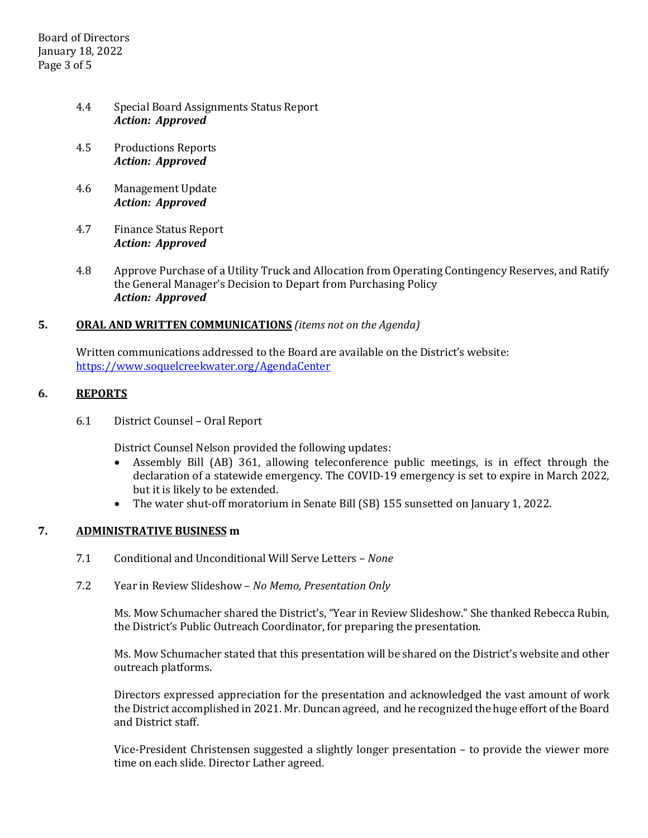Board of Directors January 18, 2022 Page 3 of 5

- 4.4 Special Board Assignments Status Report *Action: Approved*
- 4.5 Productions Reports *Action: Approved*
- 4.6 Management Update *Action: Approved*
- 4.7 Finance Status Report *Action: Approved*
- 4.8 Approve Purchase of a Utility Truck and Allocation from Operating Contingency Reserves, and Ratify the General Manager's Decision to Depart from Purchasing Policy *Action: Approved*

### **5. ORAL AND WRITTEN COMMUNICATIONS** *(items not on the Agenda)*

Written communications addressed to the Board are available on the District's website: <https://www.soquelcreekwater.org/AgendaCenter>

### **6. REPORTS**

6.1 District Counsel – Oral Report

District Counsel Nelson provided the following updates:

- Assembly Bill (AB) 361, allowing teleconference public meetings, is in effect through the declaration of a statewide emergency. The COVID-19 emergency is set to expire in March 2022, but it is likely to be extended.
- The water shut-off moratorium in Senate Bill (SB) 155 sunsetted on January 1, 2022.

# **7. ADMINISTRATIVE BUSINESS m**

- 7.1 Conditional and Unconditional Will Serve Letters *None*
- 7.2 Year in Review Slideshow *No Memo, Presentation Only*

Ms. Mow Schumacher shared the District's, "Year in Review Slideshow." She thanked Rebecca Rubin, the District's Public Outreach Coordinator, for preparing the presentation.

Ms. Mow Schumacher stated that this presentation will be shared on the District's website and other outreach platforms.

Directors expressed appreciation for the presentation and acknowledged the vast amount of work the District accomplished in 2021. Mr. Duncan agreed, and he recognized the huge effort of the Board and District staff.

Vice-President Christensen suggested a slightly longer presentation – to provide the viewer more time on each slide. Director Lather agreed.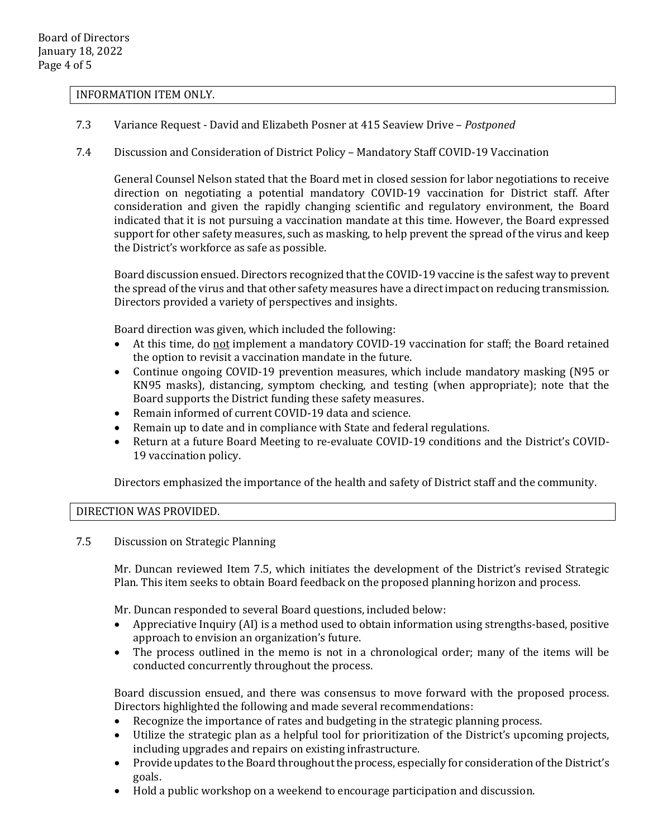#### INFORMATION ITEM ONLY.

- 7.3 Variance Request David and Elizabeth Posner at 415 Seaview Drive *Postponed*
- 7.4 Discussion and Consideration of District Policy Mandatory Staff COVID-19 Vaccination

General Counsel Nelson stated that the Board met in closed session for labor negotiations to receive direction on negotiating a potential mandatory COVID-19 vaccination for District staff. After consideration and given the rapidly changing scientific and regulatory environment, the Board indicated that it is not pursuing a vaccination mandate at this time. However, the Board expressed support for other safety measures, such as masking, to help prevent the spread of the virus and keep the District's workforce as safe as possible.

Board discussion ensued. Directors recognized that the COVID-19 vaccine is the safest way to prevent the spread of the virus and that other safety measures have a direct impact on reducing transmission. Directors provided a variety of perspectives and insights.

Board direction was given, which included the following:

- At this time, do not implement a mandatory COVID-19 vaccination for staff; the Board retained the option to revisit a vaccination mandate in the future.
- Continue ongoing COVID-19 prevention measures, which include mandatory masking (N95 or KN95 masks), distancing, symptom checking, and testing (when appropriate); note that the Board supports the District funding these safety measures.
- Remain informed of current COVID-19 data and science.
- Remain up to date and in compliance with State and federal regulations.
- Return at a future Board Meeting to re-evaluate COVID-19 conditions and the District's COVID-19 vaccination policy.

Directors emphasized the importance of the health and safety of District staff and the community.

DIRECTION WAS PROVIDED.

7.5 Discussion on Strategic Planning

Mr. Duncan reviewed Item 7.5, which initiates the development of the District's revised Strategic Plan. This item seeks to obtain Board feedback on the proposed planning horizon and process.

Mr. Duncan responded to several Board questions, included below:

- Appreciative Inquiry (AI) is a method used to obtain information using strengths-based, positive approach to envision an organization's future.
- The process outlined in the memo is not in a chronological order; many of the items will be conducted concurrently throughout the process.

Board discussion ensued, and there was consensus to move forward with the proposed process. Directors highlighted the following and made several recommendations:

- Recognize the importance of rates and budgeting in the strategic planning process.
- Utilize the strategic plan as a helpful tool for prioritization of the District's upcoming projects, including upgrades and repairs on existing infrastructure.
- Provide updates to the Board throughout the process, especially for consideration of the District's goals.
- Hold a public workshop on a weekend to encourage participation and discussion.